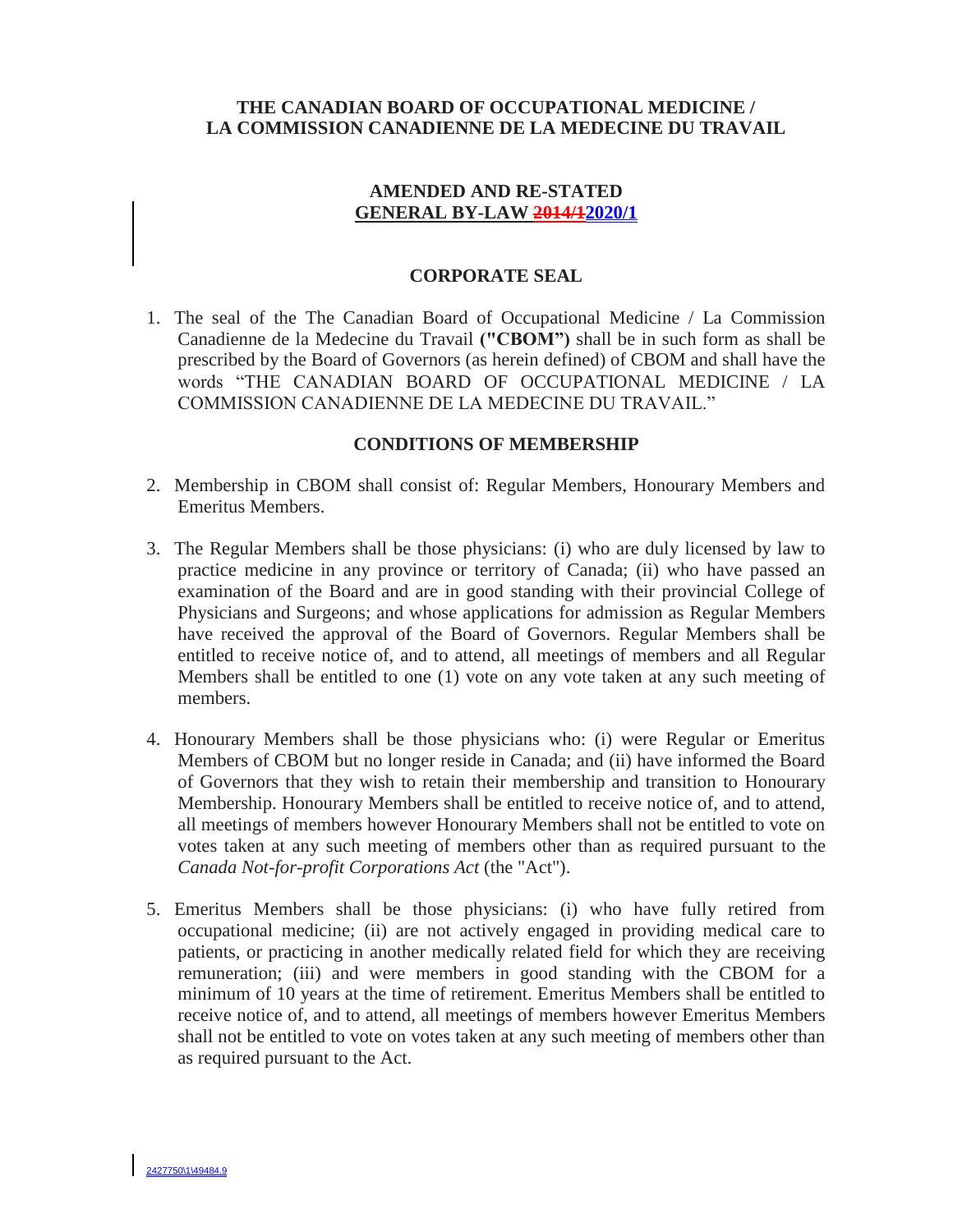# **THE CANADIAN BOARD OF OCCUPATIONAL MEDICINE / LA COMMISSION CANADIENNE DE LA MEDECINE DU TRAVAIL**

# **AMENDED AND RE-STATED GENERAL BY-LAW 2014/12020/1**

# **CORPORATE SEAL**

1. The seal of the The Canadian Board of Occupational Medicine / La Commission Canadienne de la Medecine du Travail **("CBOM")** shall be in such form as shall be prescribed by the Board of Governors (as herein defined) of CBOM and shall have the words "THE CANADIAN BOARD OF OCCUPATIONAL MEDICINE / LA COMMISSION CANADIENNE DE LA MEDECINE DU TRAVAIL."

## **CONDITIONS OF MEMBERSHIP**

- 2. Membership in CBOM shall consist of: Regular Members, Honourary Members and Emeritus Members.
- 3. The Regular Members shall be those physicians: (i) who are duly licensed by law to practice medicine in any province or territory of Canada; (ii) who have passed an examination of the Board and are in good standing with their provincial College of Physicians and Surgeons; and whose applications for admission as Regular Members have received the approval of the Board of Governors. Regular Members shall be entitled to receive notice of, and to attend, all meetings of members and all Regular Members shall be entitled to one (1) vote on any vote taken at any such meeting of members.
- 4. Honourary Members shall be those physicians who: (i) were Regular or Emeritus Members of CBOM but no longer reside in Canada; and (ii) have informed the Board of Governors that they wish to retain their membership and transition to Honourary Membership. Honourary Members shall be entitled to receive notice of, and to attend, all meetings of members however Honourary Members shall not be entitled to vote on votes taken at any such meeting of members other than as required pursuant to the *Canada Not-for-profit Corporations Act* (the "Act").
- 5. Emeritus Members shall be those physicians: (i) who have fully retired from occupational medicine; (ii) are not actively engaged in providing medical care to patients, or practicing in another medically related field for which they are receiving remuneration; (iii) and were members in good standing with the CBOM for a minimum of 10 years at the time of retirement. Emeritus Members shall be entitled to receive notice of, and to attend, all meetings of members however Emeritus Members shall not be entitled to vote on votes taken at any such meeting of members other than as required pursuant to the Act.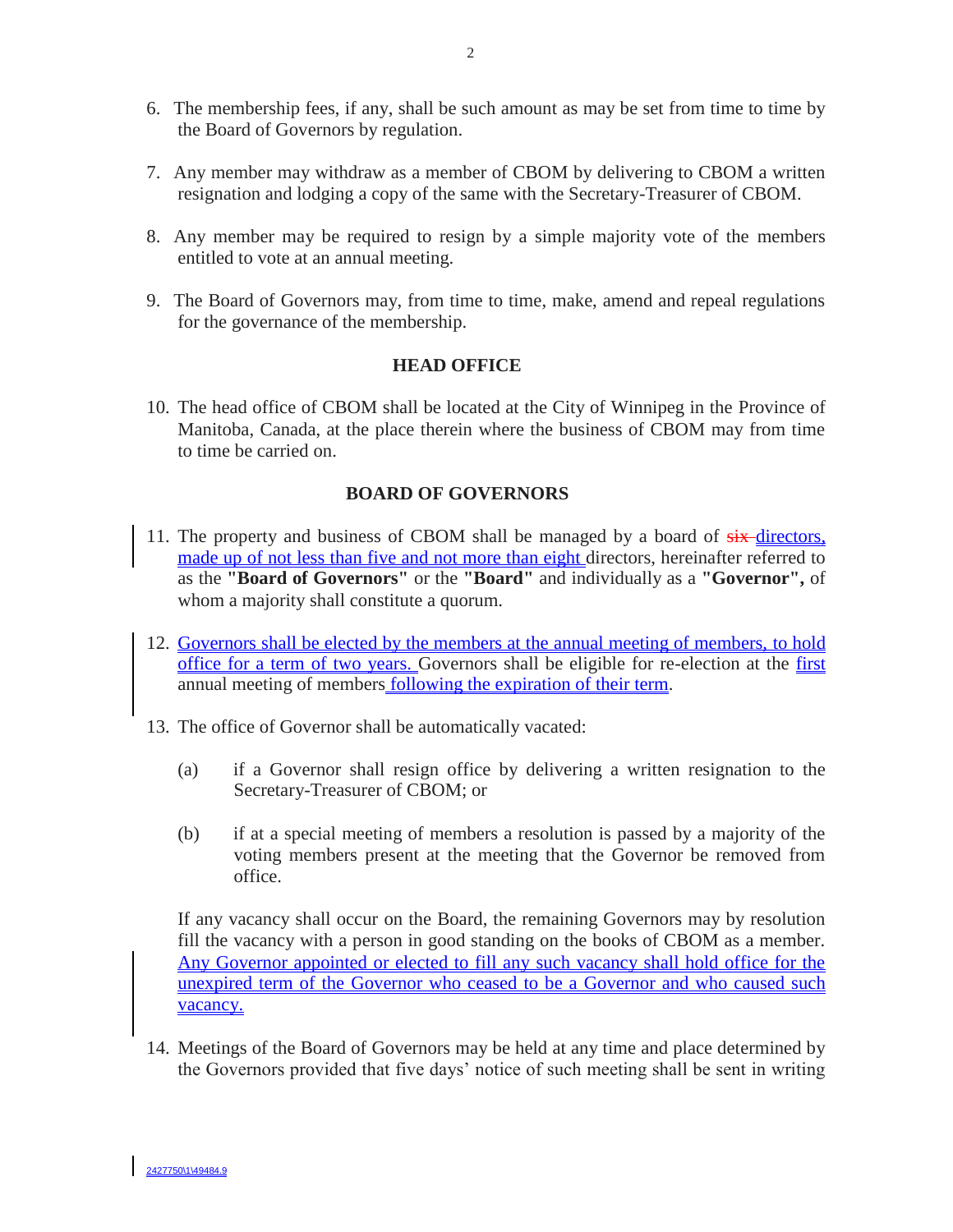- 6. The membership fees, if any, shall be such amount as may be set from time to time by the Board of Governors by regulation.
- 7. Any member may withdraw as a member of CBOM by delivering to CBOM a written resignation and lodging a copy of the same with the Secretary-Treasurer of CBOM.
- 8. Any member may be required to resign by a simple majority vote of the members entitled to vote at an annual meeting.
- 9. The Board of Governors may, from time to time, make, amend and repeal regulations for the governance of the membership.

## **HEAD OFFICE**

10. The head office of CBOM shall be located at the City of Winnipeg in the Province of Manitoba, Canada, at the place therein where the business of CBOM may from time to time be carried on.

#### **BOARD OF GOVERNORS**

- 11. The property and business of CBOM shall be managed by a board of  $s$ ix-directors, made up of not less than five and not more than eight directors, hereinafter referred to as the **"Board of Governors"** or the **"Board"** and individually as a **"Governor",** of whom a majority shall constitute a quorum.
- 12. Governors shall be elected by the members at the annual meeting of members, to hold office for a term of two years. Governors shall be eligible for re-election at the first annual meeting of members following the expiration of their term.
- 13. The office of Governor shall be automatically vacated:
	- (a) if a Governor shall resign office by delivering a written resignation to the Secretary-Treasurer of CBOM; or
	- (b) if at a special meeting of members a resolution is passed by a majority of the voting members present at the meeting that the Governor be removed from office.

If any vacancy shall occur on the Board, the remaining Governors may by resolution fill the vacancy with a person in good standing on the books of CBOM as a member. Any Governor appointed or elected to fill any such vacancy shall hold office for the unexpired term of the Governor who ceased to be a Governor and who caused such vacancy.

14. Meetings of the Board of Governors may be held at any time and place determined by the Governors provided that five days' notice of such meeting shall be sent in writing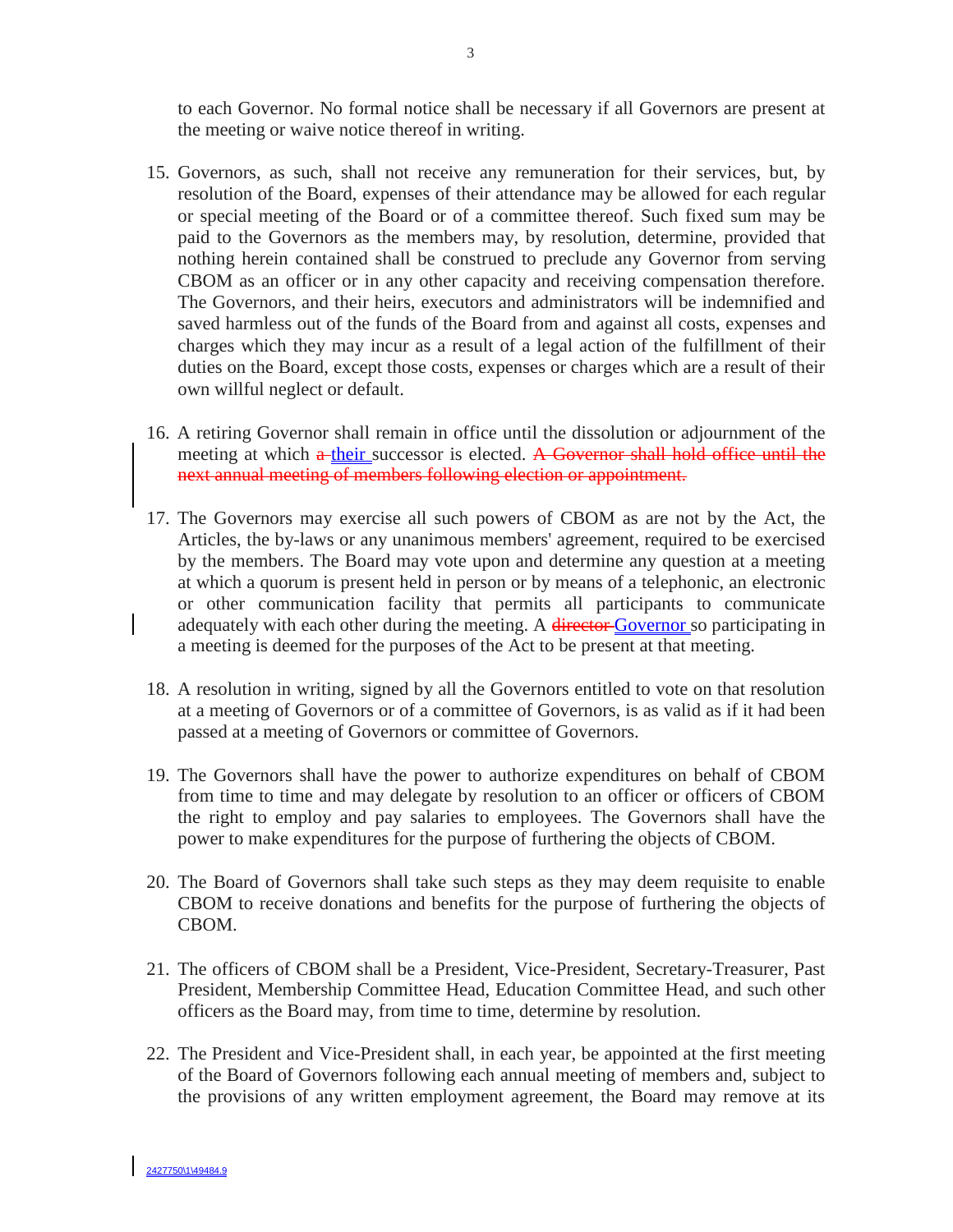to each Governor. No formal notice shall be necessary if all Governors are present at the meeting or waive notice thereof in writing.

- 15. Governors, as such, shall not receive any remuneration for their services, but, by resolution of the Board, expenses of their attendance may be allowed for each regular or special meeting of the Board or of a committee thereof. Such fixed sum may be paid to the Governors as the members may, by resolution, determine, provided that nothing herein contained shall be construed to preclude any Governor from serving CBOM as an officer or in any other capacity and receiving compensation therefore. The Governors, and their heirs, executors and administrators will be indemnified and saved harmless out of the funds of the Board from and against all costs, expenses and charges which they may incur as a result of a legal action of the fulfillment of their duties on the Board, except those costs, expenses or charges which are a result of their own willful neglect or default.
- 16. A retiring Governor shall remain in office until the dissolution or adjournment of the meeting at which a their successor is elected. A Governor shall hold office until the next annual meeting of members following election or appointment.
- 17. The Governors may exercise all such powers of CBOM as are not by the Act, the Articles, the by-laws or any unanimous members' agreement, required to be exercised by the members. The Board may vote upon and determine any question at a meeting at which a quorum is present held in person or by means of a telephonic, an electronic or other communication facility that permits all participants to communicate adequately with each other during the meeting. A director Governor so participating in a meeting is deemed for the purposes of the Act to be present at that meeting.
- 18. A resolution in writing, signed by all the Governors entitled to vote on that resolution at a meeting of Governors or of a committee of Governors, is as valid as if it had been passed at a meeting of Governors or committee of Governors.
- 19. The Governors shall have the power to authorize expenditures on behalf of CBOM from time to time and may delegate by resolution to an officer or officers of CBOM the right to employ and pay salaries to employees. The Governors shall have the power to make expenditures for the purpose of furthering the objects of CBOM.
- 20. The Board of Governors shall take such steps as they may deem requisite to enable CBOM to receive donations and benefits for the purpose of furthering the objects of CBOM.
- 21. The officers of CBOM shall be a President, Vice-President, Secretary-Treasurer, Past President, Membership Committee Head, Education Committee Head, and such other officers as the Board may, from time to time, determine by resolution.
- 22. The President and Vice-President shall, in each year, be appointed at the first meeting of the Board of Governors following each annual meeting of members and, subject to the provisions of any written employment agreement, the Board may remove at its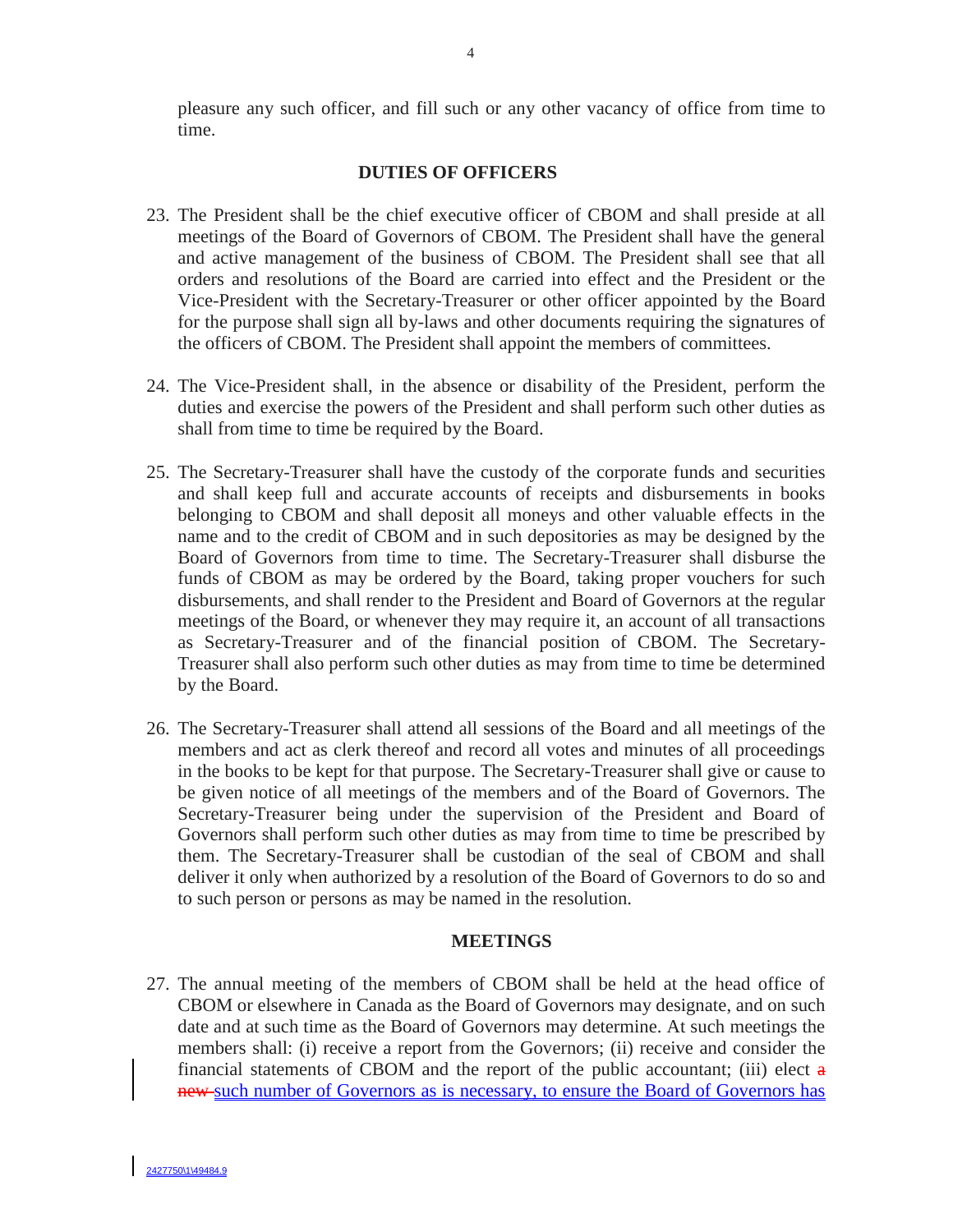pleasure any such officer, and fill such or any other vacancy of office from time to time.

#### **DUTIES OF OFFICERS**

- 23. The President shall be the chief executive officer of CBOM and shall preside at all meetings of the Board of Governors of CBOM. The President shall have the general and active management of the business of CBOM. The President shall see that all orders and resolutions of the Board are carried into effect and the President or the Vice-President with the Secretary-Treasurer or other officer appointed by the Board for the purpose shall sign all by-laws and other documents requiring the signatures of the officers of CBOM. The President shall appoint the members of committees.
- 24. The Vice-President shall, in the absence or disability of the President, perform the duties and exercise the powers of the President and shall perform such other duties as shall from time to time be required by the Board.
- 25. The Secretary-Treasurer shall have the custody of the corporate funds and securities and shall keep full and accurate accounts of receipts and disbursements in books belonging to CBOM and shall deposit all moneys and other valuable effects in the name and to the credit of CBOM and in such depositories as may be designed by the Board of Governors from time to time. The Secretary-Treasurer shall disburse the funds of CBOM as may be ordered by the Board, taking proper vouchers for such disbursements, and shall render to the President and Board of Governors at the regular meetings of the Board, or whenever they may require it, an account of all transactions as Secretary-Treasurer and of the financial position of CBOM. The Secretary-Treasurer shall also perform such other duties as may from time to time be determined by the Board.
- 26. The Secretary-Treasurer shall attend all sessions of the Board and all meetings of the members and act as clerk thereof and record all votes and minutes of all proceedings in the books to be kept for that purpose. The Secretary-Treasurer shall give or cause to be given notice of all meetings of the members and of the Board of Governors. The Secretary-Treasurer being under the supervision of the President and Board of Governors shall perform such other duties as may from time to time be prescribed by them. The Secretary-Treasurer shall be custodian of the seal of CBOM and shall deliver it only when authorized by a resolution of the Board of Governors to do so and to such person or persons as may be named in the resolution.

#### **MEETINGS**

27. The annual meeting of the members of CBOM shall be held at the head office of CBOM or elsewhere in Canada as the Board of Governors may designate, and on such date and at such time as the Board of Governors may determine. At such meetings the members shall: (i) receive a report from the Governors; (ii) receive and consider the financial statements of CBOM and the report of the public accountant; (iii) elect  $\mathbf a$ new such number of Governors as is necessary, to ensure the Board of Governors has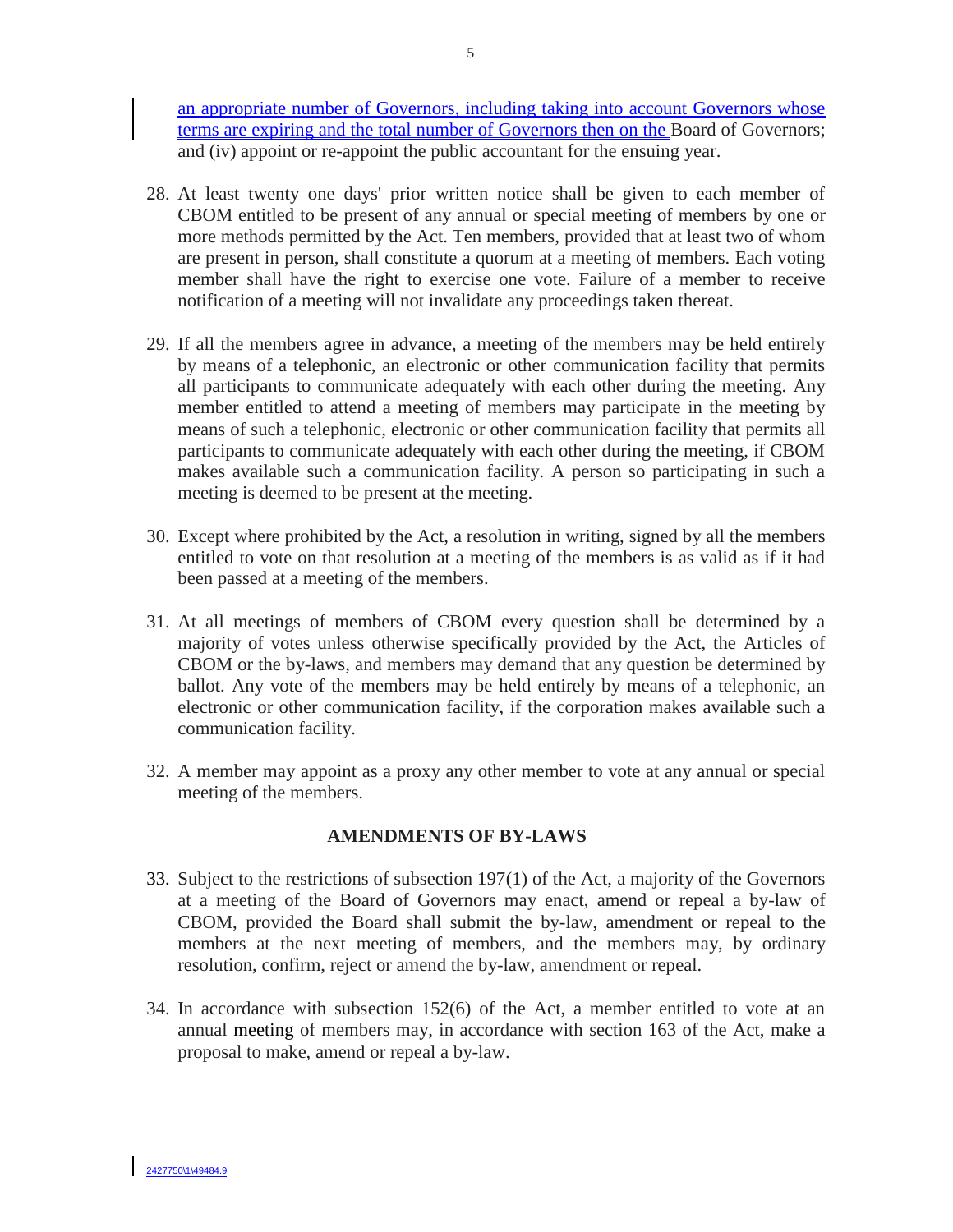an appropriate number of Governors, including taking into account Governors whose terms are expiring and the total number of Governors then on the Board of Governors; and (iv) appoint or re-appoint the public accountant for the ensuing year.

- 28. At least twenty one days' prior written notice shall be given to each member of CBOM entitled to be present of any annual or special meeting of members by one or more methods permitted by the Act. Ten members, provided that at least two of whom are present in person, shall constitute a quorum at a meeting of members. Each voting member shall have the right to exercise one vote. Failure of a member to receive notification of a meeting will not invalidate any proceedings taken thereat.
- 29. If all the members agree in advance, a meeting of the members may be held entirely by means of a telephonic, an electronic or other communication facility that permits all participants to communicate adequately with each other during the meeting. Any member entitled to attend a meeting of members may participate in the meeting by means of such a telephonic, electronic or other communication facility that permits all participants to communicate adequately with each other during the meeting, if CBOM makes available such a communication facility. A person so participating in such a meeting is deemed to be present at the meeting.
- 30. Except where prohibited by the Act, a resolution in writing, signed by all the members entitled to vote on that resolution at a meeting of the members is as valid as if it had been passed at a meeting of the members.
- 31. At all meetings of members of CBOM every question shall be determined by a majority of votes unless otherwise specifically provided by the Act, the Articles of CBOM or the by-laws, and members may demand that any question be determined by ballot. Any vote of the members may be held entirely by means of a telephonic, an electronic or other communication facility, if the corporation makes available such a communication facility.
- 32. A member may appoint as a proxy any other member to vote at any annual or special meeting of the members.

## **AMENDMENTS OF BY-LAWS**

- 33. Subject to the restrictions of subsection 197(1) of the Act, a majority of the Governors at a meeting of the Board of Governors may enact, amend or repeal a by-law of CBOM, provided the Board shall submit the by-law, amendment or repeal to the members at the next meeting of members, and the members may, by ordinary resolution, confirm, reject or amend the by-law, amendment or repeal.
- 34. In accordance with subsection 152(6) of the Act, a member entitled to vote at an annual meeting of members may, in accordance with section 163 of the Act, make a proposal to make, amend or repeal a by-law.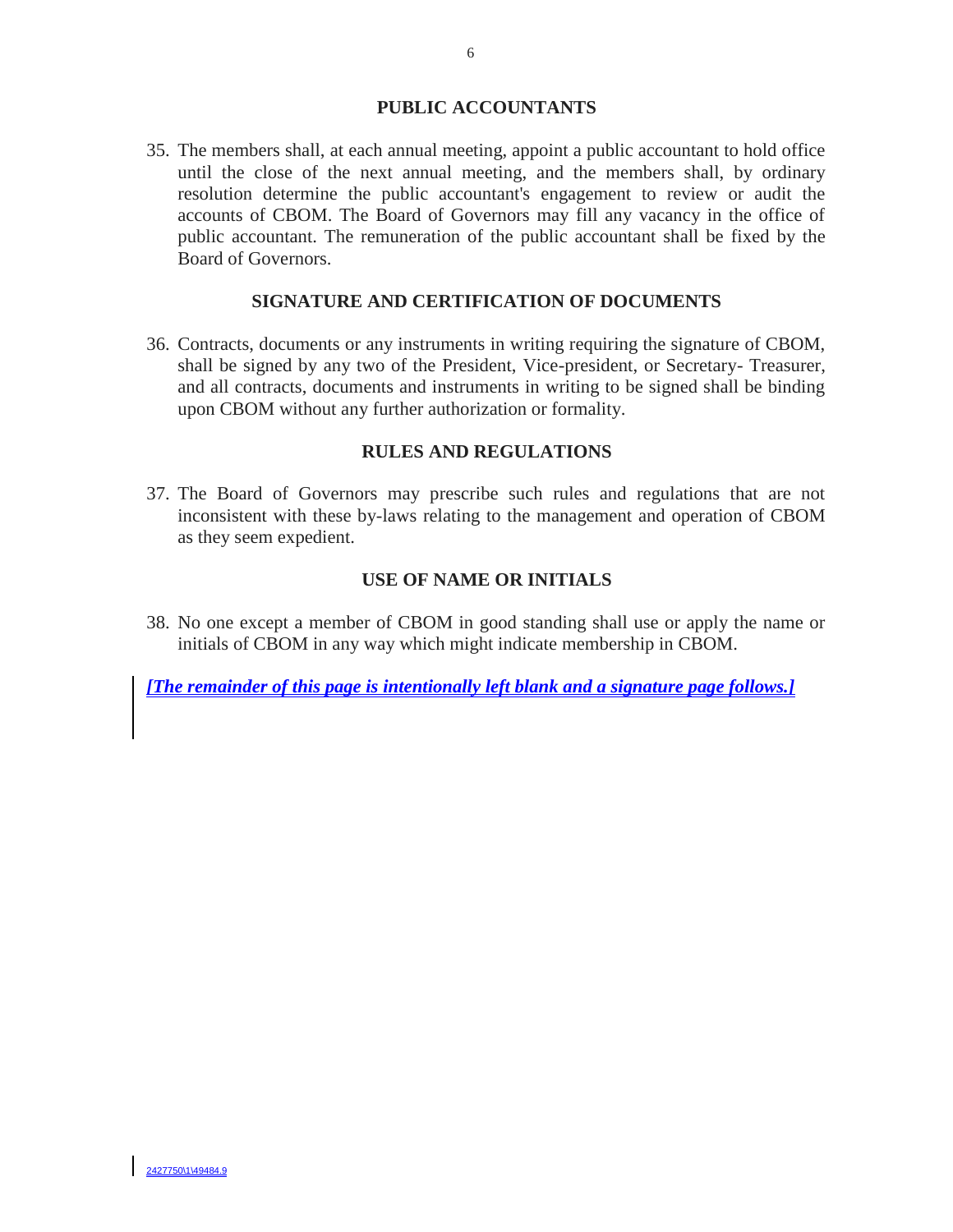#### **PUBLIC ACCOUNTANTS**

35. The members shall, at each annual meeting, appoint a public accountant to hold office until the close of the next annual meeting, and the members shall, by ordinary resolution determine the public accountant's engagement to review or audit the accounts of CBOM. The Board of Governors may fill any vacancy in the office of public accountant. The remuneration of the public accountant shall be fixed by the Board of Governors.

# **SIGNATURE AND CERTIFICATION OF DOCUMENTS**

36. Contracts, documents or any instruments in writing requiring the signature of CBOM, shall be signed by any two of the President, Vice-president, or Secretary- Treasurer, and all contracts, documents and instruments in writing to be signed shall be binding upon CBOM without any further authorization or formality.

#### **RULES AND REGULATIONS**

37. The Board of Governors may prescribe such rules and regulations that are not inconsistent with these by-laws relating to the management and operation of CBOM as they seem expedient.

#### **USE OF NAME OR INITIALS**

38. No one except a member of CBOM in good standing shall use or apply the name or initials of CBOM in any way which might indicate membership in CBOM.

*[The remainder of this page is intentionally left blank and a signature page follows.]*